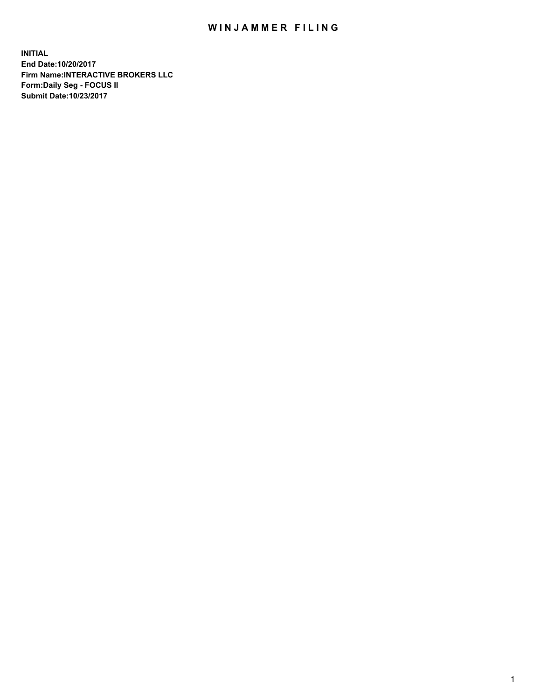## WIN JAMMER FILING

**INITIAL End Date:10/20/2017 Firm Name:INTERACTIVE BROKERS LLC Form:Daily Seg - FOCUS II Submit Date:10/23/2017**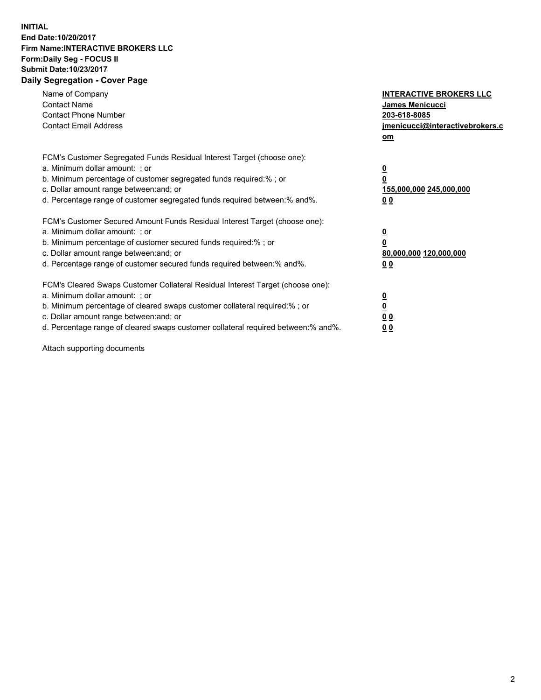## **INITIAL End Date:10/20/2017 Firm Name:INTERACTIVE BROKERS LLC Form:Daily Seg - FOCUS II Submit Date:10/23/2017 Daily Segregation - Cover Page**

| Name of Company<br><b>Contact Name</b><br><b>Contact Phone Number</b><br><b>Contact Email Address</b>                                                                                                                                                                                                                          | <b>INTERACTIVE BROKERS LLC</b><br><b>James Menicucci</b><br>203-618-8085<br>jmenicucci@interactivebrokers.c<br>om |
|--------------------------------------------------------------------------------------------------------------------------------------------------------------------------------------------------------------------------------------------------------------------------------------------------------------------------------|-------------------------------------------------------------------------------------------------------------------|
| FCM's Customer Segregated Funds Residual Interest Target (choose one):<br>a. Minimum dollar amount: ; or<br>b. Minimum percentage of customer segregated funds required:% ; or<br>c. Dollar amount range between: and; or<br>d. Percentage range of customer segregated funds required between:% and%.                         | $\overline{\mathbf{0}}$<br>0<br><u>155,000,000 245,000,000</u><br><u>00</u>                                       |
| FCM's Customer Secured Amount Funds Residual Interest Target (choose one):<br>a. Minimum dollar amount: ; or<br>b. Minimum percentage of customer secured funds required:%; or<br>c. Dollar amount range between: and; or<br>d. Percentage range of customer secured funds required between:% and%.                            | $\overline{\mathbf{0}}$<br>$\pmb{0}$<br>80,000,000 120,000,000<br>0 <sub>0</sub>                                  |
| FCM's Cleared Swaps Customer Collateral Residual Interest Target (choose one):<br>a. Minimum dollar amount: ; or<br>b. Minimum percentage of cleared swaps customer collateral required:% ; or<br>c. Dollar amount range between: and; or<br>d. Percentage range of cleared swaps customer collateral required between:% and%. | $\underline{\mathbf{0}}$<br>$\underline{\mathbf{0}}$<br>0 <sub>0</sub><br>00                                      |

Attach supporting documents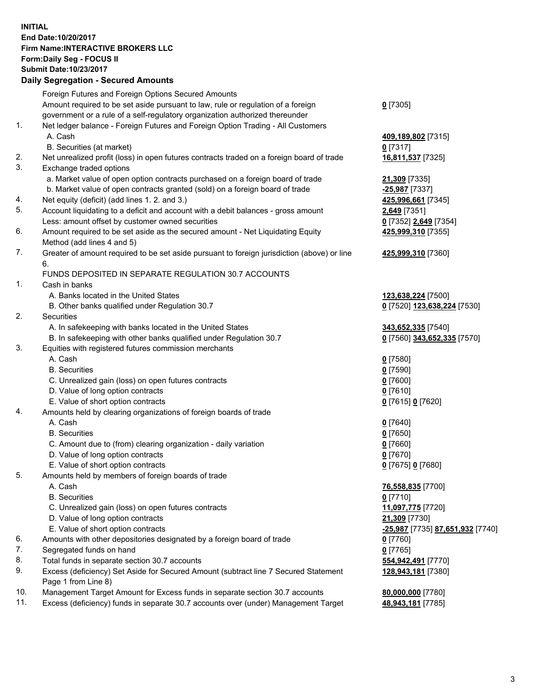## **INITIAL End Date:10/20/2017 Firm Name:INTERACTIVE BROKERS LLC Form:Daily Seg - FOCUS II Submit Date:10/23/2017 Daily Segregation - Secured Amounts**

|     | Daily Ocglegation - Occuled Amounts                                                                        |                                  |
|-----|------------------------------------------------------------------------------------------------------------|----------------------------------|
|     | Foreign Futures and Foreign Options Secured Amounts                                                        |                                  |
|     | Amount required to be set aside pursuant to law, rule or regulation of a foreign                           | $0$ [7305]                       |
|     | government or a rule of a self-regulatory organization authorized thereunder                               |                                  |
| 1.  | Net ledger balance - Foreign Futures and Foreign Option Trading - All Customers                            |                                  |
|     | A. Cash                                                                                                    | 409,189,802 [7315]               |
|     | B. Securities (at market)                                                                                  | $0$ [7317]                       |
| 2.  | Net unrealized profit (loss) in open futures contracts traded on a foreign board of trade                  | 16,811,537 [7325]                |
| 3.  | Exchange traded options                                                                                    |                                  |
|     | a. Market value of open option contracts purchased on a foreign board of trade                             | 21,309 [7335]                    |
|     | b. Market value of open contracts granted (sold) on a foreign board of trade                               | -25,987 [7337]                   |
| 4.  | Net equity (deficit) (add lines 1. 2. and 3.)                                                              | 425,996,661 [7345]               |
| 5.  | Account liquidating to a deficit and account with a debit balances - gross amount                          | 2,649 [7351]                     |
|     | Less: amount offset by customer owned securities                                                           | 0 [7352] 2,649 [7354]            |
| 6.  | Amount required to be set aside as the secured amount - Net Liquidating Equity                             | 425,999,310 [7355]               |
|     | Method (add lines 4 and 5)                                                                                 |                                  |
| 7.  | Greater of amount required to be set aside pursuant to foreign jurisdiction (above) or line                | 425,999,310 [7360]               |
|     | 6.                                                                                                         |                                  |
|     | FUNDS DEPOSITED IN SEPARATE REGULATION 30.7 ACCOUNTS                                                       |                                  |
| 1.  | Cash in banks                                                                                              |                                  |
|     | A. Banks located in the United States                                                                      | 123,638,224 [7500]               |
|     | B. Other banks qualified under Regulation 30.7                                                             | 0 [7520] 123,638,224 [7530]      |
| 2.  | Securities                                                                                                 |                                  |
|     | A. In safekeeping with banks located in the United States                                                  | 343,652,335 [7540]               |
|     | B. In safekeeping with other banks qualified under Regulation 30.7                                         | 0 [7560] 343,652,335 [7570]      |
| 3.  | Equities with registered futures commission merchants                                                      |                                  |
|     | A. Cash                                                                                                    | $0$ [7580]                       |
|     | <b>B.</b> Securities                                                                                       | $0$ [7590]                       |
|     | C. Unrealized gain (loss) on open futures contracts                                                        | $0$ [7600]                       |
|     | D. Value of long option contracts                                                                          | $0$ [7610]                       |
|     | E. Value of short option contracts                                                                         | 0 [7615] 0 [7620]                |
| 4.  | Amounts held by clearing organizations of foreign boards of trade                                          |                                  |
|     | A. Cash                                                                                                    | $0$ [7640]                       |
|     | <b>B.</b> Securities                                                                                       | $0$ [7650]                       |
|     | C. Amount due to (from) clearing organization - daily variation                                            | $0$ [7660]                       |
|     | D. Value of long option contracts                                                                          | $0$ [7670]                       |
|     | E. Value of short option contracts                                                                         | 0 [7675] 0 [7680]                |
| 5.  | Amounts held by members of foreign boards of trade                                                         |                                  |
|     | A. Cash                                                                                                    | 76,558,835 [7700]                |
|     | <b>B.</b> Securities                                                                                       | $0$ [7710]                       |
|     | C. Unrealized gain (loss) on open futures contracts                                                        | 11,097,775 [7720]                |
|     | D. Value of long option contracts                                                                          | 21,309 [7730]                    |
|     | E. Value of short option contracts                                                                         | -25,987 [7735] 87,651,932 [7740] |
| 6.  | Amounts with other depositories designated by a foreign board of trade                                     | 0 [7760]                         |
| 7.  | Segregated funds on hand                                                                                   | $0$ [7765]                       |
| 8.  | Total funds in separate section 30.7 accounts                                                              | 554,942,491 [7770]               |
| 9.  | Excess (deficiency) Set Aside for Secured Amount (subtract line 7 Secured Statement<br>Page 1 from Line 8) | 128,943,181 [7380]               |
| 10. | Management Target Amount for Excess funds in separate section 30.7 accounts                                | 80,000,000 [7780]                |
| 11. | Excess (deficiency) funds in separate 30.7 accounts over (under) Management Target                         | 48,943,181 [7785]                |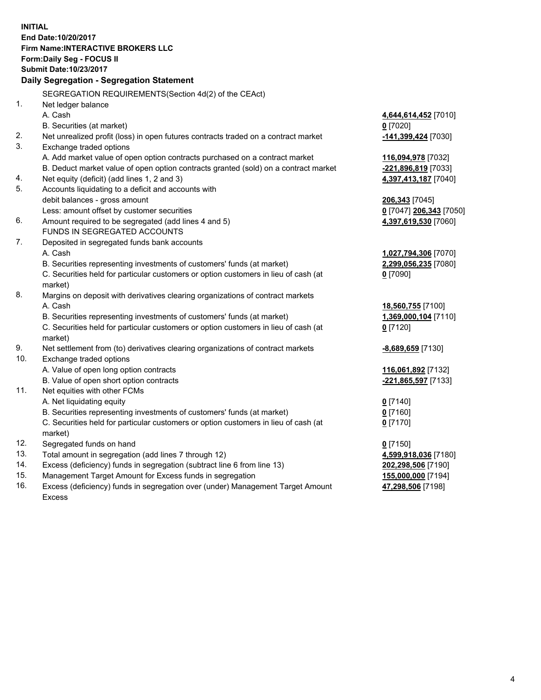**INITIAL End Date:10/20/2017 Firm Name:INTERACTIVE BROKERS LLC Form:Daily Seg - FOCUS II Submit Date:10/23/2017 Daily Segregation - Segregation Statement** SEGREGATION REQUIREMENTS(Section 4d(2) of the CEAct) 1. Net ledger balance A. Cash **4,644,614,452** [7010] B. Securities (at market) **0** [7020] 2. Net unrealized profit (loss) in open futures contracts traded on a contract market **-141,399,424** [7030] 3. Exchange traded options A. Add market value of open option contracts purchased on a contract market **116,094,978** [7032] B. Deduct market value of open option contracts granted (sold) on a contract market **-221,896,819** [7033] 4. Net equity (deficit) (add lines 1, 2 and 3) **4,397,413,187** [7040] 5. Accounts liquidating to a deficit and accounts with debit balances - gross amount **206,343** [7045] Less: amount offset by customer securities **0** [7047] **206,343** [7050] 6. Amount required to be segregated (add lines 4 and 5) **4,397,619,530** [7060] FUNDS IN SEGREGATED ACCOUNTS 7. Deposited in segregated funds bank accounts A. Cash **1,027,794,306** [7070] B. Securities representing investments of customers' funds (at market) **2,299,056,235** [7080] C. Securities held for particular customers or option customers in lieu of cash (at market) **0** [7090] 8. Margins on deposit with derivatives clearing organizations of contract markets A. Cash **18,560,755** [7100] B. Securities representing investments of customers' funds (at market) **1,369,000,104** [7110] C. Securities held for particular customers or option customers in lieu of cash (at market) **0** [7120] 9. Net settlement from (to) derivatives clearing organizations of contract markets **-8,689,659** [7130] 10. Exchange traded options A. Value of open long option contracts **116,061,892** [7132] B. Value of open short option contracts **-221,865,597** [7133] 11. Net equities with other FCMs A. Net liquidating equity **0** [7140] B. Securities representing investments of customers' funds (at market) **0** [7160] C. Securities held for particular customers or option customers in lieu of cash (at market) **0** [7170] 12. Segregated funds on hand **0** [7150] 13. Total amount in segregation (add lines 7 through 12) **4,599,918,036** [7180] 14. Excess (deficiency) funds in segregation (subtract line 6 from line 13) **202,298,506** [7190] 15. Management Target Amount for Excess funds in segregation **155,000,000** [7194]

16. Excess (deficiency) funds in segregation over (under) Management Target Amount Excess

**47,298,506** [7198]